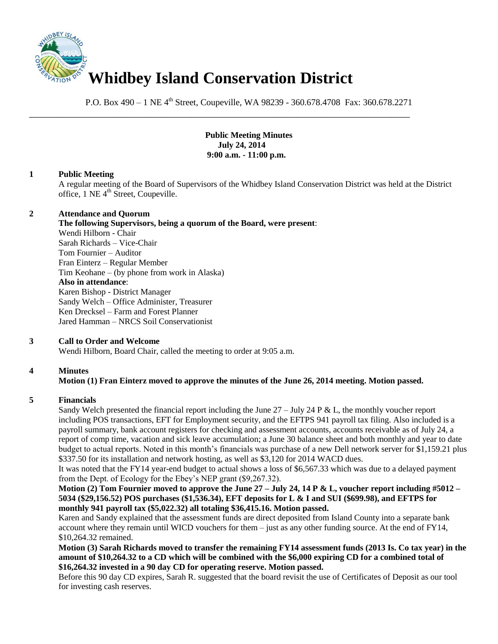

P.O. Box 490 – 1 NE 4<sup>th</sup> Street, Coupeville, WA 98239 - 360.678.4708 Fax: 360.678.2271

\_\_\_\_\_\_\_\_\_\_\_\_\_\_\_\_\_\_\_\_\_\_\_\_\_\_\_\_\_\_\_\_\_\_\_\_\_\_\_\_\_\_\_\_\_\_\_\_\_\_\_\_\_\_\_\_\_\_\_\_\_\_\_\_\_\_\_\_\_\_\_\_\_\_\_\_\_\_

**Public Meeting Minutes July 24, 2014 9:00 a.m. - 11:00 p.m.**

## **1 Public Meeting**

A regular meeting of the Board of Supervisors of the Whidbey Island Conservation District was held at the District office, 1 NE 4<sup>th</sup> Street, Coupeville.

#### **2 Attendance and Quorum**

**The following Supervisors, being a quorum of the Board, were present**: Wendi Hilborn - Chair Sarah Richards – Vice-Chair Tom Fournier – Auditor Fran Einterz – Regular Member Tim Keohane – (by phone from work in Alaska) **Also in attendance**: Karen Bishop - District Manager Sandy Welch – Office Administer, Treasurer Ken Drecksel – Farm and Forest Planner Jared Hamman – NRCS Soil Conservationist

## **3 Call to Order and Welcome**

Wendi Hilborn, Board Chair, called the meeting to order at 9:05 a.m.

## **4 Minutes**

# **Motion (1) Fran Einterz moved to approve the minutes of the June 26, 2014 meeting. Motion passed.**

#### **5 Financials**

Sandy Welch presented the financial report including the June 27 – July 24 P & L, the monthly voucher report including POS transactions, EFT for Employment security, and the EFTPS 941 payroll tax filing. Also included is a payroll summary, bank account registers for checking and assessment accounts, accounts receivable as of July 24, a report of comp time, vacation and sick leave accumulation; a June 30 balance sheet and both monthly and year to date budget to actual reports. Noted in this month's financials was purchase of a new Dell network server for \$1,159.21 plus \$337.50 for its installation and network hosting, as well as \$3,120 for 2014 WACD dues.

It was noted that the FY14 year-end budget to actual shows a loss of \$6,567.33 which was due to a delayed payment from the Dept. of Ecology for the Ebey's NEP grant (\$9,267.32).

**Motion (2) Tom Fournier moved to approve the June 27 – July 24, 14 P & L, voucher report including #5012 – 5034 (\$29,156.52) POS purchases (\$1,536.34), EFT deposits for L & I and SUI (\$699.98), and EFTPS for monthly 941 payroll tax (\$5,022.32) all totaling \$36,415.16. Motion passed.** 

Karen and Sandy explained that the assessment funds are direct deposited from Island County into a separate bank account where they remain until WICD vouchers for them – just as any other funding source. At the end of FY14, \$10,264.32 remained.

**Motion (3) Sarah Richards moved to transfer the remaining FY14 assessment funds (2013 Is. Co tax year) in the amount of \$10,264.32 to a CD which will be combined with the \$6,000 expiring CD for a combined total of \$16,264.32 invested in a 90 day CD for operating reserve. Motion passed.**

Before this 90 day CD expires, Sarah R. suggested that the board revisit the use of Certificates of Deposit as our tool for investing cash reserves.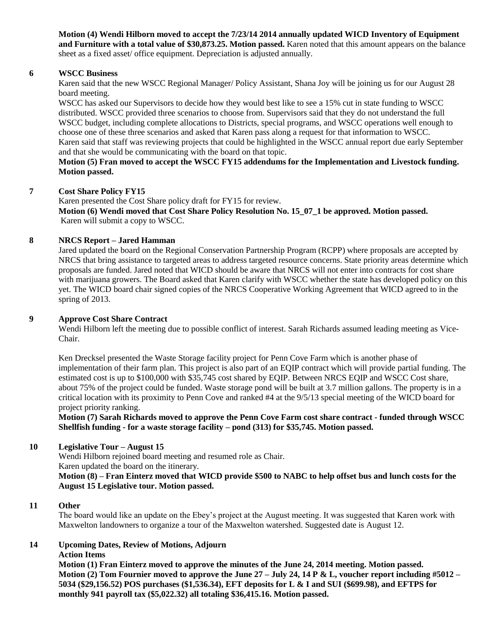**Motion (4) Wendi Hilborn moved to accept the 7/23/14 2014 annually updated WICD Inventory of Equipment and Furniture with a total value of \$30,873.25. Motion passed.** Karen noted that this amount appears on the balance sheet as a fixed asset/ office equipment. Depreciation is adjusted annually.

## **6 WSCC Business**

Karen said that the new WSCC Regional Manager/ Policy Assistant, Shana Joy will be joining us for our August 28 board meeting.

WSCC has asked our Supervisors to decide how they would best like to see a 15% cut in state funding to WSCC distributed. WSCC provided three scenarios to choose from. Supervisors said that they do not understand the full WSCC budget, including complete allocations to Districts, special programs, and WSCC operations well enough to choose one of these three scenarios and asked that Karen pass along a request for that information to WSCC. Karen said that staff was reviewing projects that could be highlighted in the WSCC annual report due early September and that she would be communicating with the board on that topic.

## **Motion (5) Fran moved to accept the WSCC FY15 addendums for the Implementation and Livestock funding. Motion passed.**

#### **7 Cost Share Policy FY15**

Karen presented the Cost Share policy draft for FY15 for review. **Motion (6) Wendi moved that Cost Share Policy Resolution No. 15\_07\_1 be approved. Motion passed.** Karen will submit a copy to WSCC.

#### **8 NRCS Report – Jared Hamman**

Jared updated the board on the Regional Conservation Partnership Program (RCPP) where proposals are accepted by NRCS that bring assistance to targeted areas to address targeted resource concerns. State priority areas determine which proposals are funded. Jared noted that WICD should be aware that NRCS will not enter into contracts for cost share with marijuana growers. The Board asked that Karen clarify with WSCC whether the state has developed policy on this yet. The WICD board chair signed copies of the NRCS Cooperative Working Agreement that WICD agreed to in the spring of 2013.

## **9 Approve Cost Share Contract**

Wendi Hilborn left the meeting due to possible conflict of interest. Sarah Richards assumed leading meeting as Vice-Chair.

Ken Drecksel presented the Waste Storage facility project for Penn Cove Farm which is another phase of implementation of their farm plan. This project is also part of an EQIP contract which will provide partial funding. The estimated cost is up to \$100,000 with \$35,745 cost shared by EQIP. Between NRCS EQIP and WSCC Cost share, about 75% of the project could be funded. Waste storage pond will be built at 3.7 million gallons. The property is in a critical location with its proximity to Penn Cove and ranked #4 at the 9/5/13 special meeting of the WICD board for project priority ranking.

**Motion (7) Sarah Richards moved to approve the Penn Cove Farm cost share contract - funded through WSCC Shellfish funding - for a waste storage facility – pond (313) for \$35,745. Motion passed.** 

## **10 Legislative Tour – August 15**

Wendi Hilborn rejoined board meeting and resumed role as Chair. Karen updated the board on the itinerary.

**Motion (8) – Fran Einterz moved that WICD provide \$500 to NABC to help offset bus and lunch costs for the August 15 Legislative tour. Motion passed.** 

#### **11 Other**

The board would like an update on the Ebey's project at the August meeting. It was suggested that Karen work with Maxwelton landowners to organize a tour of the Maxwelton watershed. Suggested date is August 12.

## **14 Upcoming Dates, Review of Motions, Adjourn**

## **Action Items**

**Motion (1) Fran Einterz moved to approve the minutes of the June 24, 2014 meeting. Motion passed. Motion (2) Tom Fournier moved to approve the June 27 – July 24, 14 P & L, voucher report including #5012 – 5034 (\$29,156.52) POS purchases (\$1,536.34), EFT deposits for L & I and SUI (\$699.98), and EFTPS for monthly 941 payroll tax (\$5,022.32) all totaling \$36,415.16. Motion passed.**